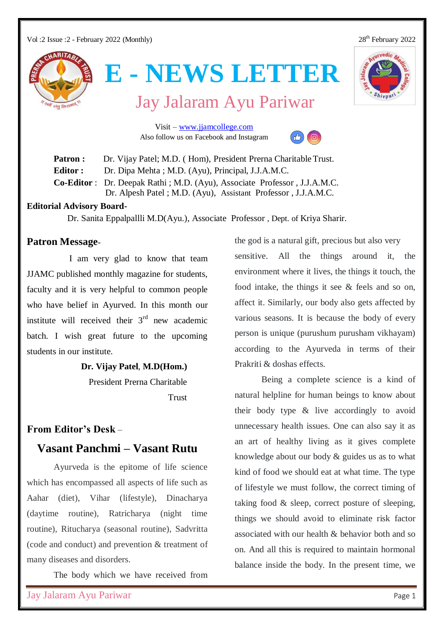Vol :2 Issue :2 - February 2022 (Monthly) 28<sup>th</sup> February 2022

# urvedic A



**E - NEWS LETTER**

Jay Jalaram Ayu Pariwar

 Visit – [www.jjamcollege.com](http://www.jjamcollege.com/) Also follow us on Facebook and Instagram



Patron **:** Dr. Vijay Patel; M.D. (Hom), President Prerna Charitable Trust. **Editor :** Dr. Dipa Mehta ; M.D. (Ayu), Principal, J.J.A.M.C. **Co-Editor** : Dr. Deepak Rathi ; M.D. (Ayu), Associate Professor , J.J.A.M.C. Dr. Alpesh Patel ; M.D. (Ayu), Assistant Professor , J.J.A.M.C.

#### **Editorial Advisory Board-**

Dr. Sanita Eppalpallli M.D(Ayu.), Associate Professor , Dept. of Kriya Sharir.

#### **Patron Message-**

I am very glad to know that team JJAMC published monthly magazine for students, faculty and it is very helpful to common people who have belief in Ayurved. In this month our institute will received their  $3<sup>rd</sup>$  new academic batch. I wish great future to the upcoming students in our institute.

 **Dr. Vijay Patel**, **M.D(Hom.)**

President Prerna Charitable Trust

#### **From Editor's Desk** –

### **Vasant Panchmi – Vasant Rutu**

Ayurveda is the epitome of life science which has encompassed all aspects of life such as Aahar (diet), Vihar (lifestyle), Dinacharya (daytime routine), Ratricharya (night time routine), Ritucharya (seasonal routine), Sadvritta (code and conduct) and prevention & treatment of many diseases and disorders.

The body which we have received from

the god is a natural gift, precious but also very sensitive. All the things around it, the environment where it lives, the things it touch, the food intake, the things it see & feels and so on, affect it. Similarly, our body also gets affected by various seasons. It is because the body of every person is unique (purushum purusham vikhayam) according to the Ayurveda in terms of their Prakriti & doshas effects.

Being a complete science is a kind of natural helpline for human beings to know about their body type & live accordingly to avoid unnecessary health issues. One can also say it as an art of healthy living as it gives complete knowledge about our body & guides us as to what kind of food we should eat at what time. The type of lifestyle we must follow, the correct timing of taking food & sleep, correct posture of sleeping, things we should avoid to eliminate risk factor associated with our health & behavior both and so on. And all this is required to maintain hormonal balance inside the body. In the present time, we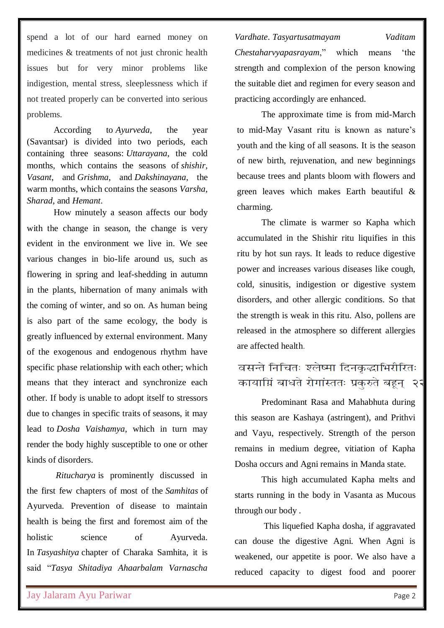spend a lot of our hard earned money on medicines & treatments of not just chronic health issues but for very minor problems like indigestion, mental stress, sleeplessness which if not treated properly can be converted into serious problems.

According to *Ayurveda*, the year (Savantsar) is divided into two periods, each containing three seasons: *Uttarayana*, the cold months, which contains the seasons of *shishir, Vasant*, and *Grishma*, and *Dakshinayana*, the warm months, which contains the seasons *Varsha, Sharad*, and *Hemant*.

How minutely a season affects our body with the change in season, the change is very evident in the environment we live in. We see various changes in bio-life around us, such as flowering in spring and leaf-shedding in autumn in the plants, hibernation of many animals with the coming of winter, and so on. As human being is also part of the same ecology, the body is greatly influenced by external environment. Many of the exogenous and endogenous rhythm have specific phase relationship with each other; which means that they interact and synchronize each other. If body is unable to adopt itself to stressors due to changes in specific traits of seasons, it may lead to *Dosha Vaishamya*, which in turn may render the body highly susceptible to one or other kinds of disorders.

*Ritucharya* is prominently discussed in the first few chapters of most of the *Samhitas* of Ayurveda. Prevention of disease to maintain health is being the first and foremost aim of the holistic science of Ayurveda. In *Tasyashitya* chapter of Charaka Samhita, it is said "*Tasya Shitadiya Ahaarbalam Varnascha* 

*Vardhate*. *Tasyartusatmayam Vaditam* 

*Chestaharvyapasrayam*," which means 'the strength and complexion of the person knowing the suitable diet and regimen for every season and practicing accordingly are enhanced.

The approximate time is from mid-March to mid-May Vasant ritu is known as nature's youth and the king of all seasons. It is the season of new birth, rejuvenation, and new beginnings because trees and plants bloom with flowers and green leaves which makes Earth beautiful & charming.

The climate is warmer so Kapha which accumulated in the Shishir ritu liquifies in this ritu by hot sun rays. It leads to reduce digestive power and increases various diseases like cough, cold, sinusitis, indigestion or digestive system disorders, and other allergic conditions. So that the strength is weak in this ritu. Also, pollens are released in the atmosphere so different allergies are affected health.

## वसन्ते निचितः श्लेष्मा दिनकद्भाभिरीरितः कायामिं बाधते रोगांस्ततः प्रकुरुते बहून् २२

Predominant Rasa and Mahabhuta during this season are Kashaya (astringent), and Prithvi and Vayu, respectively. Strength of the person remains in medium degree, vitiation of Kapha Dosha occurs and Agni remains in Manda state.

This high accumulated Kapha melts and starts running in the body in Vasanta as Mucous through our body .

This liquefied Kapha dosha, if aggravated can douse the digestive Agni. When Agni is weakened, our appetite is poor. We also have a reduced capacity to digest food and poorer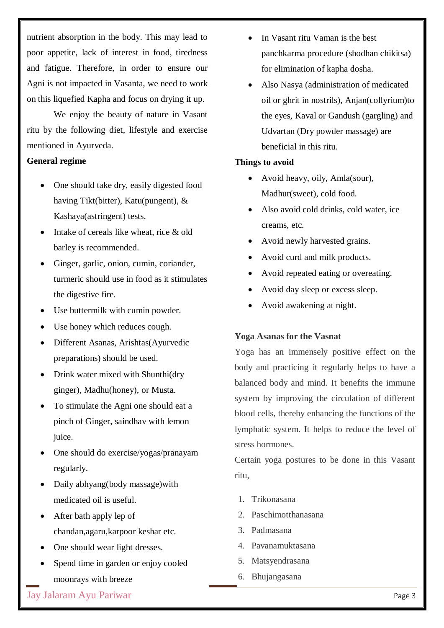nutrient absorption in the body. This may lead to poor appetite, lack of interest in food, tiredness and fatigue. Therefore, in order to ensure our Agni is not impacted in Vasanta, we need to work on this liquefied Kapha and focus on drying it up.

We enjoy the beauty of nature in Vasant ritu by the following diet, lifestyle and exercise mentioned in Ayurveda.

#### **General regime**

- One should take dry, easily digested food having Tikt(bitter), Katu(pungent), & Kashaya(astringent) tests.
- Intake of cereals like wheat, rice & old barley is recommended.
- Ginger, garlic, onion, cumin, coriander, turmeric should use in food as it stimulates the digestive fire.
- Use buttermilk with cumin powder.
- Use honey which reduces cough.
- Different Asanas, Arishtas(Ayurvedic preparations) should be used.
- Drink water mixed with Shunthi(dry ginger), Madhu(honey), or Musta.
- To stimulate the Agni one should eat a pinch of Ginger, saindhav with lemon juice.
- One should do exercise/yogas/pranayam regularly.
- Daily abhyang(body massage)with medicated oil is useful.
- After bath apply lep of chandan,agaru,karpoor keshar etc.
- One should wear light dresses.
- Spend time in garden or enjoy cooled moonrays with breeze
- In Vasant ritu Vaman is the best panchkarma procedure (shodhan chikitsa) for elimination of kapha dosha.
- Also Nasya (administration of medicated oil or ghrit in nostrils), Anjan(collyrium)to the eyes, Kaval or Gandush (gargling) and Udvartan (Dry powder massage) are beneficial in this ritu.

#### **Things to avoid**

- Avoid heavy, oily, Amla(sour), Madhur(sweet), cold food.
- Also avoid cold drinks, cold water, ice creams, etc.
- Avoid newly harvested grains.
- Avoid curd and milk products.
- Avoid repeated eating or overeating.
- Avoid day sleep or excess sleep.
- Avoid awakening at night.

#### **Yoga Asanas for the Vasnat**

Yoga has an immensely positive effect on the body and practicing it regularly helps to have a balanced body and mind. It benefits the immune system by improving the circulation of different blood cells, thereby enhancing the functions of the lymphatic system. It helps to reduce the level of stress hormones.

Certain yoga postures to be done in this Vasant ritu,

- 1. Trikonasana
- 2. Paschimotthanasana
- 3. Padmasana
- 4. Pavanamuktasana
- 5. Matsyendrasana
- 6. Bhujangasana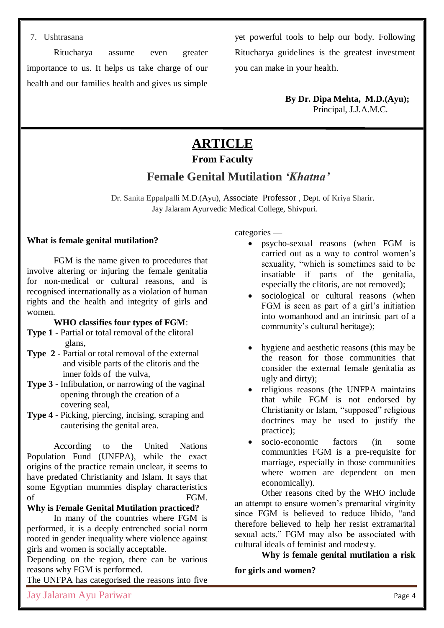#### 7. Ushtrasana

Ritucharya assume even greater importance to us. It helps us take charge of our health and our families health and gives us simple

yet powerful tools to help our body. Following Ritucharya guidelines is the greatest investment you can make in your health.

> **By Dr. Dipa Mehta, M.D.(Ayu);** Principal, J.J.A.M.C.

## **ARTICLE**

### **From Faculty**

## **Female Genital Mutilation** *'Khatna'*

 Dr. Sanita Eppalpalli M.D.(Ayu), Associate Professor , Dept. of Kriya Sharir. Jay Jalaram Ayurvedic Medical College, Shivpuri.

#### **What is female genital mutilation?**

FGM is the name given to procedures that involve altering or injuring the female genitalia for non-medical or cultural reasons, and is recognised internationally as a violation of human rights and the health and integrity of girls and women.

#### **WHO classifies four types of FGM**:

- **Type 1** Partial or total removal of the clitoral glans,
- **Type 2** Partial or total removal of the external and visible parts of the clitoris and the inner folds of the vulva,
- **Type 3** Infibulation, or narrowing of the vaginal opening through the creation of a covering seal,
- **Type 4** Picking, piercing, incising, scraping and cauterising the genital area.

According to the United Nations Population Fund (UNFPA), while the exact origins of the practice remain unclear, it seems to have predated Christianity and Islam. It says that some Egyptian mummies display characteristics of FGM.

**Why is Female Genital Mutilation practiced?**

In many of the countries where FGM is performed, it is a deeply entrenched social norm rooted in gender inequality where violence against girls and women is socially acceptable.

Depending on the region, there can be various reasons why FGM is performed.

The UNFPA has categorised the reasons into five

categories —

- psycho-sexual reasons (when FGM is carried out as a way to control women's sexuality, "which is sometimes said to be insatiable if parts of the genitalia, especially the clitoris, are not removed);
- sociological or cultural reasons (when FGM is seen as part of a girl's initiation into womanhood and an intrinsic part of a community's cultural heritage);
- hygiene and aesthetic reasons (this may be the reason for those communities that consider the external female genitalia as ugly and dirty);
- religious reasons (the UNFPA maintains that while FGM is not endorsed by Christianity or Islam, "supposed" religious doctrines may be used to justify the practice);
- socio-economic factors (in some communities FGM is a pre-requisite for marriage, especially in those communities where women are dependent on men economically).

Other reasons cited by the WHO include an attempt to ensure women's premarital virginity since FGM is believed to reduce libido, "and therefore believed to help her resist extramarital sexual acts." FGM may also be associated with cultural ideals of feminist and modesty.

**Why is female genital mutilation a risk for girls and women?**

Jay Jalaram Ayu Pariwar Page 4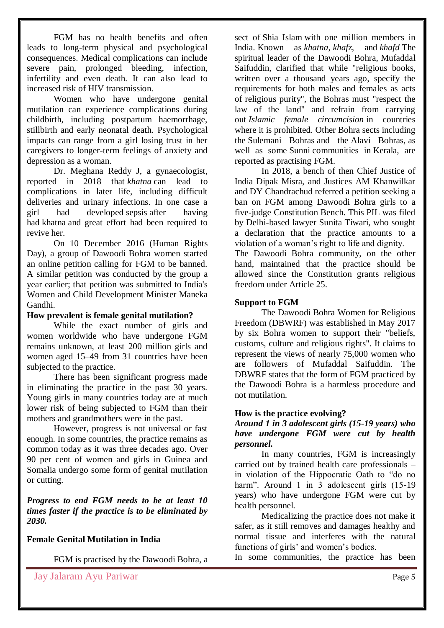FGM has no health benefits and often leads to long-term physical and psychological consequences. Medical complications can include severe pain, prolonged bleeding, infection, infertility and even death. It can also lead to increased risk of HIV transmission.

Women who have undergone genital mutilation can experience complications during childbirth, including postpartum haemorrhage, stillbirth and early neonatal death. Psychological impacts can range from a girl losing trust in her caregivers to longer-term feelings of anxiety and depression as a woman.

Dr. Meghana Reddy J, a gynaecologist, reported in 2018 that *khatna* can lead to complications in later life, including difficult deliveries and urinary infections. In one case a girl had developed [sepsis](https://en.wikipedia.org/wiki/Sepsis) after having had khatna and great effort had been required to revive her.

On 10 December 2016 [\(Human Rights](https://en.wikipedia.org/wiki/Human_Rights_Day)  [Day\)](https://en.wikipedia.org/wiki/Human_Rights_Day), a group of Dawoodi Bohra women started an online petition calling for FGM to be banned. A similar petition was conducted by the group a year earlier; that petition was submitted to India's Women and Child Development Minister [Maneka](https://en.wikipedia.org/wiki/Maneka_Gandhi)  [Gandhi.](https://en.wikipedia.org/wiki/Maneka_Gandhi)

#### **How prevalent is female genital mutilation?**

While the exact number of girls and women worldwide who have undergone FGM remains unknown, at least 200 million girls and women aged 15–49 from 31 countries have been subjected to the practice.

There has been significant progress made in eliminating the practice in the past 30 years. Young girls in many countries today are at much lower risk of being subjected to FGM than their mothers and grandmothers were in the past.

However, progress is not universal or fast enough. In some countries, the practice remains as common today as it was three decades ago. Over 90 per cent of women and girls in Guinea and Somalia undergo some form of genital mutilation or cutting.

*Progress to end FGM needs to be at least 10 times faster if the practice is to be eliminated by 2030.*

#### **Female Genital Mutilation in India**

FGM is practised by the [Dawoodi Bohra,](https://en.wikipedia.org/wiki/Dawoodi_Bohra) a

sect of [Shia Islam](https://en.wikipedia.org/wiki/Shia_Islam) with one million members in India. Known as *khatna*, *khafz*, and *khafd* The spiritual leader of the Dawoodi Bohra, [Mufaddal](https://en.wikipedia.org/wiki/Mufaddal_Saifuddin)  [Saifuddin,](https://en.wikipedia.org/wiki/Mufaddal_Saifuddin) clarified that while "religious books, written over a thousand years ago, specify the requirements for both males and females as acts of religious purity", the Bohras must "respect the law of the land" and refrain from carrying out *Islamic female circumcision* in countries where it is prohibited. Other Bohra sects including the [Sulemani Bohras](https://en.wikipedia.org/wiki/Sulemani_Bohras) and the [Alavi Bohras,](https://en.wikipedia.org/wiki/Alavi_Bohras) as well as some [Sunni](https://en.wikipedia.org/wiki/Sunni_Islam) communities in [Kerala,](https://en.wikipedia.org/wiki/Kerala) are reported as practising FGM.

In 2018, a bench of then Chief Justice of India Dipak Misra, and Justices AM Khanwilkar and DY Chandrachud referred a petition seeking a ban on FGM among Dawoodi Bohra girls to a five-judge Constitution Bench. This PIL was filed by Delhi-based lawyer Sunita Tiwari, who sought a declaration that the practice amounts to a violation of a woman's right to life and dignity.

The Dawoodi Bohra community, on the other hand, maintained that the practice should be allowed since the Constitution grants religious freedom under Article 25.

#### **Support to FGM**

The Dawoodi Bohra Women for Religious Freedom (DBWRF) was established in May 2017 by six Bohra women to support their "beliefs, customs, culture and religious rights". It claims to represent the views of nearly 75,000 women who are followers of Mufaddal Saifuddin. The DBWRF states that the form of FGM practiced by the Dawoodi Bohra is a harmless procedure and not mutilation.

#### **How is the practice evolving?**

*Around 1 in 3 adolescent girls (15-19 years) who have undergone FGM were cut by health personnel.*

In many countries, FGM is increasingly carried out by trained health care professionals – in violation of the Hippocratic Oath to "do no harm". Around 1 in 3 adolescent girls (15-19) years) who have undergone FGM were cut by health personnel.

Medicalizing the practice does not make it safer, as it still removes and damages healthy and normal tissue and interferes with the natural functions of girls' and women's bodies.

In some communities, the practice has been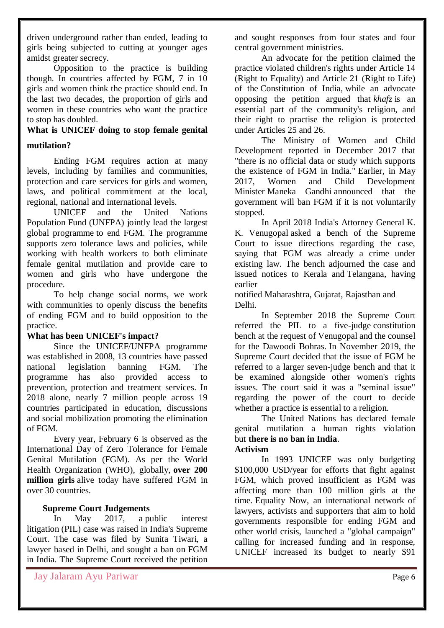driven underground rather than ended, leading to girls being subjected to cutting at younger ages amidst greater secrecy.

Opposition to the practice is building though. In countries affected by FGM, 7 in 10 girls and women think the practice should end. In the last two decades, the proportion of girls and women in these countries who want the practice to stop has doubled.

## **What is UNICEF doing to stop female genital**

#### **mutilation?**

Ending FGM requires action at many levels, including by families and communities, protection and care services for girls and women, laws, and political commitment at the local, regional, national and international levels.

UNICEF and the United Nations Population Fund (UNFPA) jointly lead the [largest](https://www.unicef.org/protection/unfpa-unicef-joint-programme-eliminating-fgm)  [global programme](https://www.unicef.org/protection/unfpa-unicef-joint-programme-eliminating-fgm) to end FGM. The programme supports zero tolerance laws and policies, while working with health workers to both eliminate female genital mutilation and provide care to women and girls who have undergone the procedure.

To help change social norms, we work with communities to openly discuss the benefits of ending FGM and to build opposition to the practice.

#### **What has been UNICEF's impact?**

Since the UNICEF/UNFPA programme was established in 2008, 13 countries have passed national legislation banning FGM. The programme has also provided access to prevention, protection and treatment services. In 2018 alone, nearly 7 million people across 19 countries participated in education, discussions and social mobilization promoting the elimination of FGM.

Every year, February 6 is observed as the International Day of Zero Tolerance for Female Genital Mutilation (FGM). As per the World Health Organization (WHO), globally, **[over 200](https://indianexpress.com/article/world/female-genital-mutilation-costs-1-4-billion-every-year-says-who-6254009/)  [million girls](https://indianexpress.com/article/world/female-genital-mutilation-costs-1-4-billion-every-year-says-who-6254009/)** alive today have suffered FGM in over 30 countries.

#### **Supreme Court Judgements**

In May 2017, a [public interest](https://en.wikipedia.org/wiki/Public_interest_litigation_in_India)  [litigation](https://en.wikipedia.org/wiki/Public_interest_litigation_in_India) (PIL) case was raised in India's [Supreme](https://en.wikipedia.org/wiki/Supreme_Court_of_India)  [Court.](https://en.wikipedia.org/wiki/Supreme_Court_of_India) The case was filed by Sunita Tiwari, a lawyer based in [Delhi,](https://en.wikipedia.org/wiki/Delhi) and sought a ban on FGM in India. The Supreme Court received the petition and sought responses from four states and four central government ministries.

An advocate for the petition claimed the practice violated children's rights under Article 14 (Right to Equality) and Article 21 (Right to Life) of the [Constitution of India,](https://en.wikipedia.org/wiki/Constitution_of_India) while an advocate opposing the petition argued that *khafz* is an essential part of the community's religion, and their right to practise the religion is protected under Articles 25 and 26.

The Ministry of Women and Child Development reported in December 2017 that "there is no official data or study which supports the existence of FGM in India." Earlier, in May 2017, Women and Child Development Minister [Maneka Gandhi](https://en.wikipedia.org/wiki/Maneka_Gandhi) announced that the government will ban FGM if it is not voluntarily stopped.

In April 2018 India's Attorney General [K.](https://en.wikipedia.org/wiki/K._K._Venugopal)  [K. Venugopal](https://en.wikipedia.org/wiki/K._K._Venugopal) asked a bench of the Supreme Court to issue directions regarding the case, saying that FGM was already a crime under existing law. The bench adjourned the case and issued notices to Kerala and [Telangana,](https://en.wikipedia.org/wiki/Telangana) having earlier

notified [Maharashtra,](https://en.wikipedia.org/wiki/Maharashtra) [Gujarat,](https://en.wikipedia.org/wiki/Gujarat) [Rajasthan](https://en.wikipedia.org/wiki/Rajasthan) and Delhi.

In September 2018 the Supreme Court referred the PIL to a five-judge [constitution](https://en.wikipedia.org/wiki/Constitution_bench_(India))  [bench](https://en.wikipedia.org/wiki/Constitution_bench_(India)) at the request of Venugopal and the counsel for the Dawoodi Bohras. In November 2019, the Supreme Court decided that the issue of FGM be referred to a larger seven-judge bench and that it be examined alongside other women's rights issues. The court said it was a "seminal issue" regarding the power of the court to decide whether a practice is essential to a religion.

The United Nations has declared female genital mutilation a human rights violation but **there is no ban in India**.

#### **Activism**

In 1993 UNICEF was only budgeting \$100,000 USD/year for efforts that fight against FGM, which proved insufficient as FGM was affecting more than 100 million girls at the time. [Equality Now,](https://en.wikipedia.org/wiki/Equality_Now) an international network of lawyers, activists and supporters that aim to hold governments responsible for ending FGM and other world crisis, launched a "global campaign" calling for increased funding and in response, UNICEF increased its budget to nearly \$91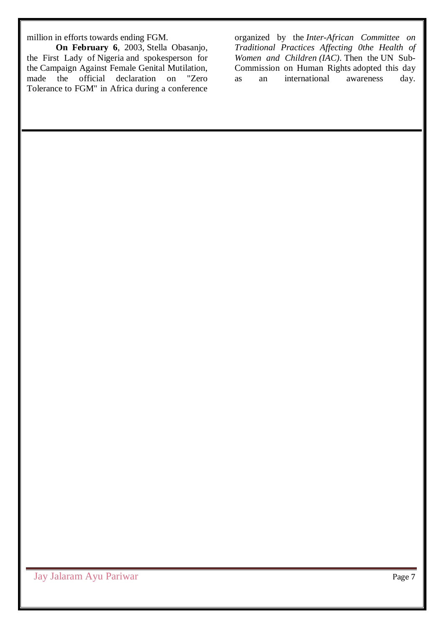million in efforts towards ending FGM.

**On February 6**, 2003, [Stella Obasanjo,](https://en.wikipedia.org/wiki/Stella_Obasanjo) the First Lady of [Nigeria](https://en.wikipedia.org/wiki/Nigeria) and spokesperson for the [Campaign Against Female Genital Mutilation,](https://en.wikipedia.org/wiki/Campaign_Against_Female_Genital_Mutilation) made the official declaration on ["Zero](https://en.wikipedia.org/wiki/Zero_tolerance)  [Tolerance](https://en.wikipedia.org/wiki/Zero_tolerance) to FGM" in Africa during a conference

organized by the *[Inter-African Committee on](https://en.wikipedia.org/wiki/Inter-African_Committee_on_Traditional_Practices_Affecting_the_Health_of_Women_and_Children)  [Traditional Practices Affecting 0the Health of](https://en.wikipedia.org/wiki/Inter-African_Committee_on_Traditional_Practices_Affecting_the_Health_of_Women_and_Children)  [Women and Children](https://en.wikipedia.org/wiki/Inter-African_Committee_on_Traditional_Practices_Affecting_the_Health_of_Women_and_Children) (IAC)*. Then the [UN Sub-](https://en.wikipedia.org/wiki/Sub-Commission_on_the_Promotion_and_Protection_of_Human_Rights)[Commission on Human Rights](https://en.wikipedia.org/wiki/Sub-Commission_on_the_Promotion_and_Protection_of_Human_Rights) adopted this day as an international awareness day.

Jay Jalaram Ayu Pariwar Page 7